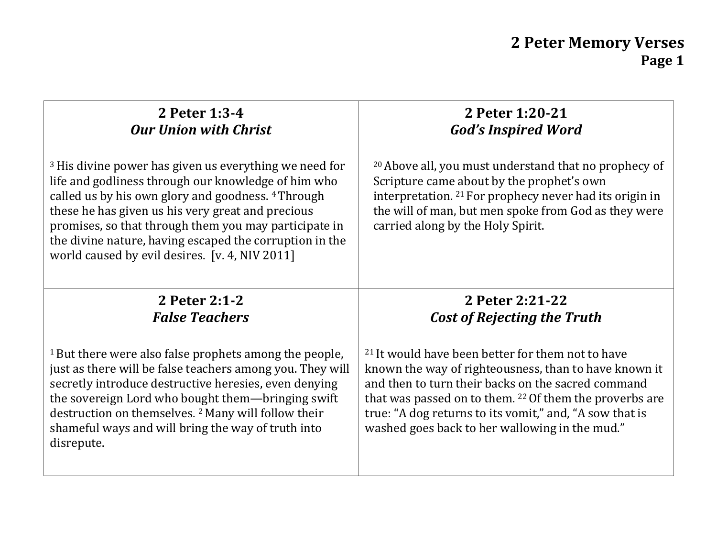# **2 Peter 1:3-4** *Our Union with Christ*

<sup>3</sup>His divine power has given us everything we need for life and godliness through our knowledge of him who called us by his own glory and goodness. 4 Through these he has given us his very great and precious promises, so that through them you may participate in the divine nature, having escaped the corruption in the world caused by evil desires. [v. 4, NIV 2011]

#### **2 Peter 1:20-21** *God's Inspired Word*

<sup>20</sup>Above all, you must understand that no prophecy of Scripture came about by the prophet's own interpretation. 21 For prophecy never had its origin in the will of man, but men spoke from God as they were carried along by the Holy Spirit.

#### **2 Peter 2:1-2** *False Teachers*

<sup>1</sup> But there were also false prophets among the people, just as there will be false teachers among you. They will secretly introduce destructive heresies, even denying the sovereign Lord who bought them—bringing swift destruction on themselves. 2 Many will follow their shameful ways and will bring the way of truth into disrepute.

## **2 Peter 2:21-22** *Cost of Rejecting the Truth*

<sup>21</sup>It would have been better for them not to have known the way of righteousness, than to have known it and then to turn their backs on the sacred command that was passed on to them. 22 Of them the proverbs are true: "A dog returns to its vomit," and, "A sow that is washed goes back to her wallowing in the mud."